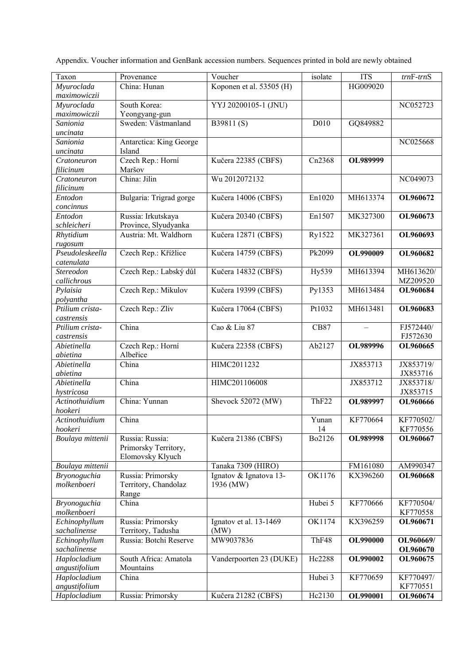| Taxon                   | Provenance                    | Voucher                  | isolate     | <b>ITS</b>      | $trnF-trnS$ |
|-------------------------|-------------------------------|--------------------------|-------------|-----------------|-------------|
| Myuroclada              | China: Hunan                  | Koponen et al. 53505 (H) |             | HG009020        |             |
| maximowiczii            |                               |                          |             |                 |             |
| Myuroclada              | South Korea:                  | YYJ 20200105-1 (JNU)     |             |                 | NC052723    |
| maximowiczii            | Yeongyang-gun                 |                          |             |                 |             |
| Sanionia                | Sweden: Västmanland           | B39811(S)                | D010        | GQ849882        |             |
| uncinata                |                               |                          |             |                 |             |
| Sanionia                | Antarctica: King George       |                          |             |                 | NC025668    |
| uncinata                | Island                        |                          |             |                 |             |
| Cratoneuron             | Czech Rep.: Horní             | Kučera 22385 (CBFS)      | Cn2368      | OL989999        |             |
| filicinum               | Maršov                        |                          |             |                 |             |
| Cratoneuron             | China: Jilin                  | Wu 2012072132            |             |                 | NC049073    |
| filicinum               |                               |                          |             |                 |             |
| Entodon                 | Bulgaria: Trigrad gorge       | Kučera 14006 (CBFS)      | En1020      | MH613374        | OL960672    |
| concinnus               |                               |                          |             |                 |             |
| Entodon                 | Russia: Irkutskaya            | Kučera 20340 (CBFS)      | En1507      | MK327300        | OL960673    |
| schleicheri             | Province, Slyudyanka          |                          |             |                 |             |
| Rhytidium               | Austria: Mt. Waldhorn         | Kučera 12871 (CBFS)      | Ry1522      | MK327361        | OL960693    |
| rugosum                 |                               |                          |             |                 |             |
| Pseudoleskeella         | Czech Rep.: Křížlice          | Kučera 14759 (CBFS)      | Pk2099      | OL990009        | OL960682    |
| catenulata              |                               |                          |             |                 |             |
| Stereodon               | Czech Rep.: Labský důl        | Kučera 14832 (CBFS)      | Hy539       | MH613394        | MH613620/   |
| callichrous             |                               |                          |             |                 | MZ209520    |
| Pylaisia                | Czech Rep.: Mikulov           | Kučera 19399 (CBFS)      | Py1353      | MH613484        | OL960684    |
| polyantha               |                               |                          |             |                 |             |
| Ptilium crista-         | Czech Rep.: Zliv              | Kučera 17064 (CBFS)      | Pt1032      | MH613481        | OL960683    |
| castrensis              |                               |                          |             |                 |             |
|                         | China                         | Cao & Liu 87             | <b>CB87</b> |                 | FJ572440/   |
| Ptilium crista-         |                               |                          |             |                 | FJ572630    |
| castrensis              |                               |                          |             |                 |             |
| Abietinella             | Czech Rep.: Horní<br>Albeřice | Kučera 22358 (CBFS)      | Ab2127      | OL989996        | OL960665    |
| abietina<br>Abietinella | China                         | HIMC2011232              |             |                 |             |
|                         |                               |                          |             | JX853713        | JX853719/   |
| abietina                | China                         |                          |             |                 | JX853716    |
| Abietinella             |                               | HIMC201106008            |             | JX853712        | JX853718/   |
| hystricosa              |                               |                          |             |                 | JX853715    |
| Actinothuidium          | China: Yunnan                 | Shevock 52072 (MW)       | ThF22       | OL989997        | OL960666    |
| hookeri                 |                               |                          |             |                 |             |
| Actinothuidium          | China                         |                          | Yunan       | KF770664        | KF770502/   |
| hookeri                 |                               |                          | 14          |                 | KF770556    |
| Boulaya mittenii        | Russia: Russia:               | Kučera 21386 (CBFS)      | Bo2126      | OL989998        | OL960667    |
|                         | Primorsky Territory,          |                          |             |                 |             |
|                         | Elomovsky Klyuch              |                          |             |                 |             |
| Boulaya mittenii        |                               | Tanaka 7309 (HIRO)       |             | FM161080        | AM990347    |
| <b>Bryonoguchia</b>     | Russia: Primorsky             | Ignatov & Ignatova 13-   | OK1176      | KX396260        | OL960668    |
| molkenboeri             | Territory, Chandolaz          | 1936 (MW)                |             |                 |             |
|                         | Range                         |                          |             |                 |             |
| Bryonoguchia            | China                         |                          | Hubei 5     | KF770666        | KF770504/   |
| molkenboeri             |                               |                          |             |                 | KF770558    |
| Echinophyllum           | Russia: Primorsky             | Ignatov et al. 13-1469   | OK1174      | KX396259        | OL960671    |
| sachalinense            | Territory, Tadusha            | (MW)                     |             |                 |             |
| Echinophyllum           | Russia: Botchi Reserve        | MW9037836                | ThF48       | <b>OL990000</b> | OL960669/   |
| sachalinense            |                               |                          |             |                 | OL960670    |
| Haplocladium            | South Africa: Amatola         | Vanderpoorten 23 (DUKE)  | Hc2288      | OL990002        | OL960675    |
| angustifolium           | Mountains                     |                          |             |                 |             |
| Haplocladium            | China                         |                          | Hubei 3     | KF770659        | KF770497/   |
| angustifolium           |                               |                          |             |                 | KF770551    |
| Haplocladium            | Russia: Primorsky             | Kučera 21282 (CBFS)      | Hc2130      | OL990001        | OL960674    |

Appendix. Voucher information and GenBank accession numbers. Sequences printed in bold are newly obtained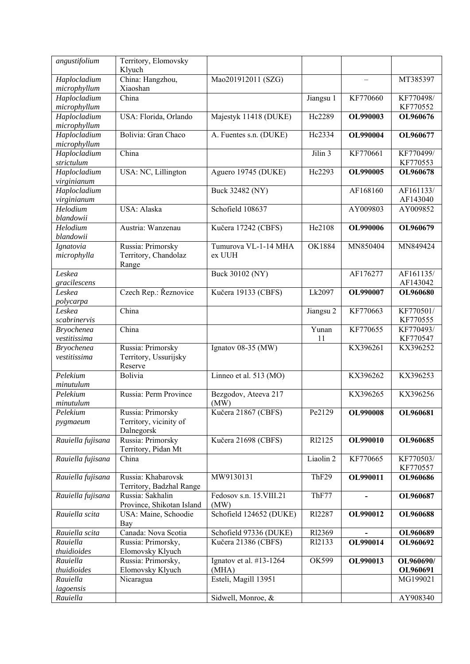| angustifolium                | Territory, Elomovsky<br>Klyuch |                                     |                      |                 |           |
|------------------------------|--------------------------------|-------------------------------------|----------------------|-----------------|-----------|
| Haplocladium<br>microphyllum | China: Hangzhou,<br>Xiaoshan   | Mao201912011 (SZG)                  |                      |                 | MT385397  |
| Haplocladium                 | China                          |                                     | Jiangsu 1            | KF770660        | KF770498/ |
| microphyllum                 |                                |                                     |                      |                 | KF770552  |
| Haplocladium                 | USA: Florida, Orlando          | Majestyk 11418 (DUKE)               | Hc2289               | OL990003        | OL960676  |
| microphyllum                 |                                |                                     |                      |                 |           |
| Haplocladium                 | Bolivia: Gran Chaco            | A. Fuentes s.n. (DUKE)              | Hc2334               | OL990004        | OL960677  |
| microphyllum                 |                                |                                     |                      |                 |           |
| Haplocladium                 | China                          |                                     | Jilin 3              | KF770661        | KF770499/ |
| strictulum                   |                                |                                     |                      |                 | KF770553  |
| Haplocladium                 | USA: NC, Lillington            | Aguero 19745 (DUKE)                 | Hc2293               | OL990005        | OL960678  |
| virginianum                  |                                |                                     |                      |                 |           |
| Haplocladium                 |                                | Buck 32482 (NY)                     |                      | AF168160        | AF161133/ |
| virginianum                  |                                |                                     |                      |                 | AF143040  |
| Helodium                     | USA: Alaska                    | Schofield 108637                    |                      | AY009803        | AY009852  |
| blandowii                    |                                |                                     |                      |                 |           |
| Helodium                     | Austria: Wanzenau              | Kučera 17242 (CBFS)                 | He2108               | OL990006        | OL960679  |
| blandowii                    |                                |                                     |                      |                 |           |
| Ignatovia                    | Russia: Primorsky              | Tumurova VL-1-14 MHA                | <b>OK1884</b>        | MN850404        | MN849424  |
| microphylla                  | Territory, Chandolaz<br>Range  | ex UUH                              |                      |                 |           |
| Leskea                       |                                | Buck 30102 (NY)                     |                      | AF176277        | AF161135/ |
| gracilescens                 |                                |                                     |                      |                 | AF143042  |
| Leskea                       | Czech Rep.: Řeznovice          | Kučera 19133 (CBFS)                 | Lk2097               | OL990007        | OL960680  |
| polycarpa                    |                                |                                     |                      |                 |           |
| Leskea                       | China                          |                                     | Jiangsu 2            | KF770663        | KF770501/ |
| scabrinervis                 |                                |                                     |                      |                 | KF770555  |
| <b>Bryochenea</b>            | China                          |                                     | Yunan                | KF770655        | KF770493/ |
| vestitissima                 |                                |                                     | 11                   |                 | KF770547  |
| <b>Bryochenea</b>            | Russia: Primorsky              | Ignatov 08-35 (MW)                  |                      | KX396261        | KX396252  |
| vestitissima                 | Territory, Ussurijsky          |                                     |                      |                 |           |
|                              | Reserve                        |                                     |                      |                 |           |
| Pelekium                     | Bolivia                        | Linneo et al. $513 \overline{(MO)}$ |                      | KX396262        | KX396253  |
| minutulum                    |                                |                                     |                      |                 |           |
| Pelekium                     | Russia: Perm Province          | Bezgodov, Ateeva 217                |                      | KX396265        | KX396256  |
| minutulum                    |                                | (MW)                                |                      |                 |           |
| Pelekium                     | Russia: Primorsky              | Kučera 21867 (CBFS)                 | Pe2129               | <b>OL990008</b> | OL960681  |
| pygmaeum                     | Territory, vicinity of         |                                     |                      |                 |           |
|                              | Dalnegorsk                     |                                     |                      |                 |           |
| Rauiella fujisana            | Russia: Primorsky              | Kučera 21698 (CBFS)                 | R <sub>12125</sub>   | OL990010        | OL960685  |
|                              | Territory, Pidan Mt            |                                     |                      |                 |           |
| Rauiella fujisana            | China                          |                                     | Liaolin <sub>2</sub> | KF770665        | KF770503/ |
|                              |                                |                                     |                      |                 | KF770557  |
| Rauiella fujisana            | Russia: Khabarovsk             | MW9130131                           | ThF29                | OL990011        | OL960686  |
|                              | Territory, Badzhal Range       |                                     |                      |                 |           |
| Rauiella fujisana            | Russia: Sakhalin               | Fedosov s.n. 15. VIII.21            | ThF77                |                 | OL960687  |
|                              | Province, Shikotan Island      | (MW)                                |                      |                 |           |
| Rauiella scita               | USA: Maine, Schoodie           | Schofield 124652 (DUKE)             | R12287               | OL990012        | OL960688  |
|                              | Bay                            |                                     |                      |                 |           |
| Rauiella scita               | Canada: Nova Scotia            | Schofield 97336 (DUKE)              | R12369               |                 | OL960689  |
| Rauiella                     | Russia: Primorsky,             | Kučera 21386 (CBFS)                 | R <sub>12133</sub>   | OL990014        | OL960692  |
| thuidioides                  | Elomovsky Klyuch               |                                     |                      |                 |           |
| Rauiella                     | Russia: Primorsky,             | Ignatov et al. #13-1264             | OK599                | OL990013        | OL960690/ |
| thuidioides                  | Elomovsky Klyuch               | (MHA)                               |                      |                 | OL960691  |
| Rauiella                     | Nicaragua                      | Esteli, Magill 13951                |                      |                 | MG199021  |
| lagoensis                    |                                |                                     |                      |                 |           |
| Rauiella                     |                                | Sidwell, Monroe, &                  |                      |                 | AY908340  |